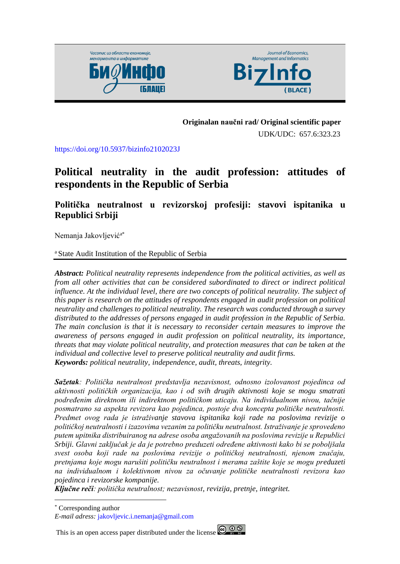



#### **Originalan naučni rad/ Original scientific paper**

UDK/UDC: 657.6:323.23

<https://doi.org/10.5937/bizinfo2102023J>

# **Political neutrality in the audit profession: attitudes of respondents in the Republic of Serbia**

**Politička neutralnost u revizorskoj profesiji: stavovi ispitanika u Republici Srbiji**

Nemanja Jakovljevića\*

<sup>a</sup> State Audit Institution of the Republic of Serbia

*Abstract: Political neutrality represents independence from the political activities, as well as from all other activities that can be considered subordinated to direct or indirect political influence. At the individual level, there are two concepts of political neutrality. The subject of this paper is research on the attitudes of respondents engaged in audit profession on political neutrality and challenges to political neutrality. The research was conducted through a survey distributed to the addresses of persons engaged in audit profession in the Republic of Serbia. The main conclusion is that it is necessary to reconsider certain measures to improve the awareness of persons engaged in audit profession on political neutrality, its importance, threats that may violate political neutrality, and protection measures that can be taken at the individual and collective level to preserve political neutrality and audit firms. Keywords: political neutrality, independence, audit, threats, integrity.*

*Sažetak: Politička neutralnost predstavlja nezavisnost, odnosno izolovanost pojedinca od aktivnosti političkih organizacija, kao i od svih drugih aktivnosti koje se mogu smatrati podređenim direktnom ili indirektnom političkom uticaju. Na individualnom nivou, tačnije posmatrano sa aspekta revizora kao pojedinca, postoje dva koncepta političke neutralnosti. Predmet ovog rada je istraživanje stavova ispitanika koji rade na poslovima revizije o političkoj neutralnosti i izazovima vezanim za političku neutralnost. Istraživanje je sprovedeno putem upitnika distribuiranog na adrese osoba angažovanih na poslovima revizije u Republici Srbiji. Glavni zaključak je da je potrebno preduzeti određene aktivnosti kako bi se poboljšala svest osoba koji rade na poslovima revizije o političkoj neutralnosti, njenom značaju, pretnjama koje mogu narušiti političku neutralnost i merama zaštite koje se mogu preduzeti na individualnom i kolektivnom nivou za očuvanje političke neutralnosti revizora kao pojedinca i revizorske kompanije.*

*Ključne reči: politička neutralnost; nezavisnost, revizija, pretnje, integritet.*

This is an open access paper distributed under the license  $\bigcirc$   $\bigcirc$   $\bigcirc$ 



<sup>\*</sup> Corresponding author

*E-mail adress:* [jakovljevic.i.nemanja@gmail.com](mailto:jakovljevic.i.nemanja@gmail.com)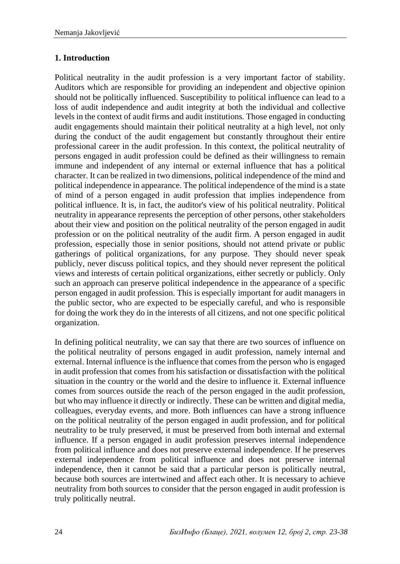## **1. Introduction**

Political neutrality in the audit profession is a very important factor of stability. Auditors which are responsible for providing an independent and objective opinion should not be politically influenced. Susceptibility to political influence can lead to a loss of audit independence and audit integrity at both the individual and collective levels in the context of audit firms and audit institutions. Those engaged in conducting audit engagements should maintain their political neutrality at a high level, not only during the conduct of the audit engagement but constantly throughout their entire professional career in the audit profession. In this context, the political neutrality of persons engaged in audit profession could be defined as their willingness to remain immune and independent of any internal or external influence that has a political character. It can be realized in two dimensions, political independence of the mind and political independence in appearance. The political independence of the mind is a state of mind of a person engaged in audit profession that implies independence from political influence. It is, in fact, the auditor's view of his political neutrality. Political neutrality in appearance represents the perception of other persons, other stakeholders about their view and position on the political neutrality of the person engaged in audit profession or on the political neutrality of the audit firm. A person engaged in audit profession, especially those in senior positions, should not attend private or public gatherings of political organizations, for any purpose. They should never speak publicly, never discuss political topics, and they should never represent the political views and interests of certain political organizations, either secretly or publicly. Only such an approach can preserve political independence in the appearance of a specific person engaged in audit profession. This is especially important for audit managers in the public sector, who are expected to be especially careful, and who is responsible for doing the work they do in the interests of all citizens, and not one specific political organization.

In defining political neutrality, we can say that there are two sources of influence on the political neutrality of persons engaged in audit profession, namely internal and external. Internal influence is the influence that comes from the person who is engaged in audit profession that comes from his satisfaction or dissatisfaction with the political situation in the country or the world and the desire to influence it. External influence comes from sources outside the reach of the person engaged in the audit profession, but who may influence it directly or indirectly. These can be written and digital media, colleagues, everyday events, and more. Both influences can have a strong influence on the political neutrality of the person engaged in audit profession, and for political neutrality to be truly preserved, it must be preserved from both internal and external influence. If a person engaged in audit profession preserves internal independence from political influence and does not preserve external independence. If he preserves external independence from political influence and does not preserve internal independence, then it cannot be said that a particular person is politically neutral, because both sources are intertwined and affect each other. It is necessary to achieve neutrality from both sources to consider that the person engaged in audit profession is truly politically neutral.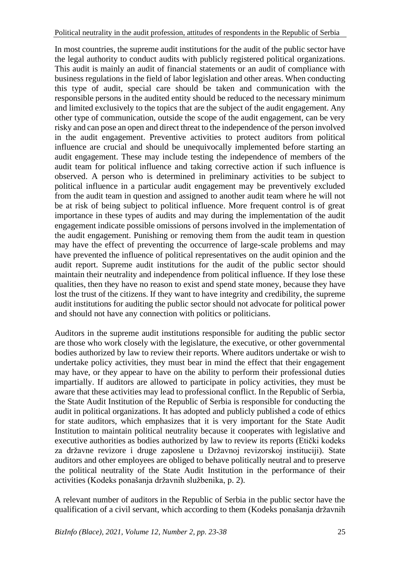In most countries, the supreme audit institutions for the audit of the public sector have the legal authority to conduct audits with publicly registered political organizations. This audit is mainly an audit of financial statements or an audit of compliance with business regulations in the field of labor legislation and other areas. When conducting this type of audit, special care should be taken and communication with the responsible persons in the audited entity should be reduced to the necessary minimum and limited exclusively to the topics that are the subject of the audit engagement. Any other type of communication, outside the scope of the audit engagement, can be very risky and can pose an open and direct threat to the independence of the person involved in the audit engagement. Preventive activities to protect auditors from political influence are crucial and should be unequivocally implemented before starting an audit engagement. These may include testing the independence of members of the audit team for political influence and taking corrective action if such influence is observed. A person who is determined in preliminary activities to be subject to political influence in a particular audit engagement may be preventively excluded from the audit team in question and assigned to another audit team where he will not be at risk of being subject to political influence. More frequent control is of great importance in these types of audits and may during the implementation of the audit engagement indicate possible omissions of persons involved in the implementation of the audit engagement. Punishing or removing them from the audit team in question may have the effect of preventing the occurrence of large-scale problems and may have prevented the influence of political representatives on the audit opinion and the audit report. Supreme audit institutions for the audit of the public sector should maintain their neutrality and independence from political influence. If they lose these qualities, then they have no reason to exist and spend state money, because they have lost the trust of the citizens. If they want to have integrity and credibility, the supreme audit institutions for auditing the public sector should not advocate for political power and should not have any connection with politics or politicians.

Auditors in the supreme audit institutions responsible for auditing the public sector are those who work closely with the legislature, the executive, or other governmental bodies authorized by law to review their reports. Where auditors undertake or wish to undertake policy activities, they must bear in mind the effect that their engagement may have, or they appear to have on the ability to perform their professional duties impartially. If auditors are allowed to participate in policy activities, they must be aware that these activities may lead to professional conflict. In the Republic of Serbia, the State Audit Institution of the Republic of Serbia is responsible for conducting the audit in political organizations. It has adopted and publicly published a code of ethics for state auditors, which emphasizes that it is very important for the State Audit Institution to maintain political neutrality because it cooperates with legislative and executive authorities as bodies authorized by law to review its reports (Etički kodeks za državne revizore i druge zaposlene u Državnoj revizorskoj instituciji). State auditors and other employees are obliged to behave politically neutral and to preserve the political neutrality of the State Audit Institution in the performance of their activities (Kodeks ponašanja državnih službenika, p. 2).

A relevant number of auditors in the Republic of Serbia in the public sector have the qualification of a civil servant, which according to them (Kodeks ponašanja državnih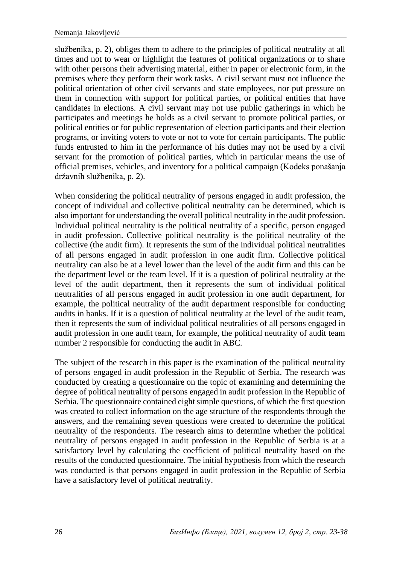službenika, p. 2), obliges them to adhere to the principles of political neutrality at all times and not to wear or highlight the features of political organizations or to share with other persons their advertising material, either in paper or electronic form, in the premises where they perform their work tasks. A civil servant must not influence the political orientation of other civil servants and state employees, nor put pressure on them in connection with support for political parties, or political entities that have candidates in elections. A civil servant may not use public gatherings in which he participates and meetings he holds as a civil servant to promote political parties, or political entities or for public representation of election participants and their election programs, or inviting voters to vote or not to vote for certain participants. The public funds entrusted to him in the performance of his duties may not be used by a civil servant for the promotion of political parties, which in particular means the use of official premises, vehicles, and inventory for a political campaign (Kodeks ponašanja državnih službenika, p. 2).

When considering the political neutrality of persons engaged in audit profession, the concept of individual and collective political neutrality can be determined, which is also important for understanding the overall political neutrality in the audit profession. Individual political neutrality is the political neutrality of a specific, person engaged in audit profession. Collective political neutrality is the political neutrality of the collective (the audit firm). It represents the sum of the individual political neutralities of all persons engaged in audit profession in one audit firm. Collective political neutrality can also be at a level lower than the level of the audit firm and this can be the department level or the team level. If it is a question of political neutrality at the level of the audit department, then it represents the sum of individual political neutralities of all persons engaged in audit profession in one audit department, for example, the political neutrality of the audit department responsible for conducting audits in banks. If it is a question of political neutrality at the level of the audit team, then it represents the sum of individual political neutralities of all persons engaged in audit profession in one audit team, for example, the political neutrality of audit team number 2 responsible for conducting the audit in ABC.

The subject of the research in this paper is the examination of the political neutrality of persons engaged in audit profession in the Republic of Serbia. The research was conducted by creating a questionnaire on the topic of examining and determining the degree of political neutrality of persons engaged in audit profession in the Republic of Serbia. The questionnaire contained eight simple questions, of which the first question was created to collect information on the age structure of the respondents through the answers, and the remaining seven questions were created to determine the political neutrality of the respondents. The research aims to determine whether the political neutrality of persons engaged in audit profession in the Republic of Serbia is at a satisfactory level by calculating the coefficient of political neutrality based on the results of the conducted questionnaire. The initial hypothesis from which the research was conducted is that persons engaged in audit profession in the Republic of Serbia have a satisfactory level of political neutrality.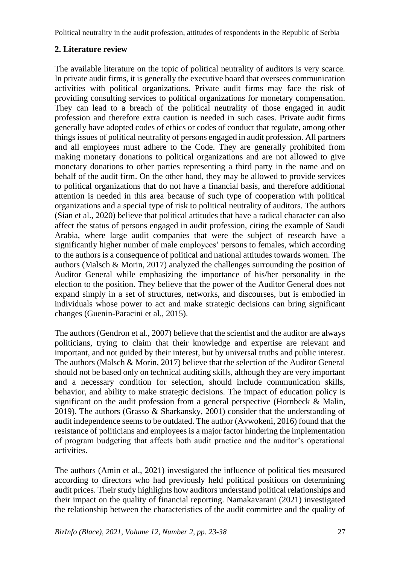### **2. Literature review**

The available literature on the topic of political neutrality of auditors is very scarce. In private audit firms, it is generally the executive board that oversees communication activities with political organizations. Private audit firms may face the risk of providing consulting services to political organizations for monetary compensation. They can lead to a breach of the political neutrality of those engaged in audit profession and therefore extra caution is needed in such cases. Private audit firms generally have adopted codes of ethics or codes of conduct that regulate, among other things issues of political neutrality of persons engaged in audit profession. All partners and all employees must adhere to the Code. They are generally prohibited from making monetary donations to political organizations and are not allowed to give monetary donations to other parties representing a third party in the name and on behalf of the audit firm. On the other hand, they may be allowed to provide services to political organizations that do not have a financial basis, and therefore additional attention is needed in this area because of such type of cooperation with political organizations and a special type of risk to political neutrality of auditors. The authors (Sian et al., 2020) believe that political attitudes that have a radical character can also affect the status of persons engaged in audit profession, citing the example of Saudi Arabia, where large audit companies that were the subject of research have a significantly higher number of male employees' persons to females, which according to the authors is a consequence of political and national attitudes towards women. The authors (Malsch & Morin, 2017) analyzed the challenges surrounding the position of Auditor General while emphasizing the importance of his/her personality in the election to the position. They believe that the power of the Auditor General does not expand simply in a set of structures, networks, and discourses, but is embodied in individuals whose power to act and make strategic decisions can bring significant changes (Guenin-Paracini et al., 2015).

The authors (Gendron et al., 2007) believe that the scientist and the auditor are always politicians, trying to claim that their knowledge and expertise are relevant and important, and not guided by their interest, but by universal truths and public interest. The authors (Malsch & Morin, 2017) believe that the selection of the Auditor General should not be based only on technical auditing skills, although they are very important and a necessary condition for selection, should include communication skills, behavior, and ability to make strategic decisions. The impact of education policy is significant on the audit profession from a general perspective (Hornbeck & Malin, 2019). The authors (Grasso & Sharkansky, 2001) consider that the understanding of audit independence seems to be outdated. The author (Avwokeni, 2016) found that the resistance of politicians and employees is a major factor hindering the implementation of program budgeting that affects both audit practice and the auditor's operational activities.

The authors (Amin et al., 2021) investigated the influence of political ties measured according to directors who had previously held political positions on determining audit prices. Their study highlights how auditors understand political relationships and their impact on the quality of financial reporting. Namakavarani (2021) investigated the relationship between the characteristics of the audit committee and the quality of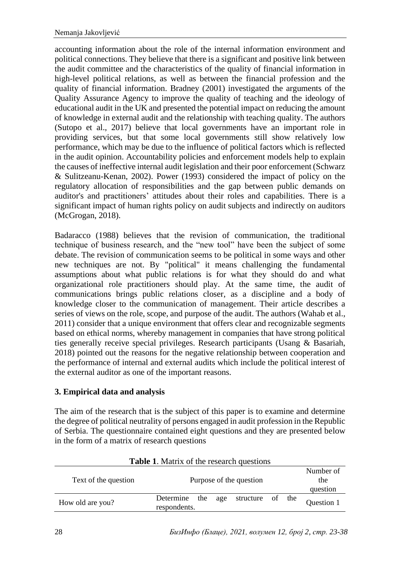accounting information about the role of the internal information environment and political connections. They believe that there is a significant and positive link between the audit committee and the characteristics of the quality of financial information in high-level political relations, as well as between the financial profession and the quality of financial information. Bradney (2001) investigated the arguments of the Quality Assurance Agency to improve the quality of teaching and the ideology of educational audit in the UK and presented the potential impact on reducing the amount of knowledge in external audit and the relationship with teaching quality. The authors (Sutopo et al., 2017) believe that local governments have an important role in providing services, but that some local governments still show relatively low performance, which may be due to the influence of political factors which is reflected in the audit opinion. Accountability policies and enforcement models help to explain the causes of ineffective internal audit legislation and their poor enforcement (Schwarz & Sulitzeanu-Kenan, 2002). Power (1993) considered the impact of policy on the regulatory allocation of responsibilities and the gap between public demands on auditor's and practitioners' attitudes about their roles and capabilities. There is a significant impact of human rights policy on audit subjects and indirectly on auditors (McGrogan, 2018).

Badaracco (1988) believes that the revision of communication, the traditional technique of business research, and the "new tool" have been the subject of some debate. The revision of communication seems to be political in some ways and other new techniques are not. By "political" it means challenging the fundamental assumptions about what public relations is for what they should do and what organizational role practitioners should play. At the same time, the audit of communications brings public relations closer, as a discipline and a body of knowledge closer to the communication of management. Their article describes a series of views on the role, scope, and purpose of the audit. The authors (Wahab et al., 2011) consider that a unique environment that offers clear and recognizable segments based on ethical norms, whereby management in companies that have strong political ties generally receive special privileges. Research participants (Usang & Basariah, 2018) pointed out the reasons for the negative relationship between cooperation and the performance of internal and external audits which include the political interest of the external auditor as one of the important reasons.

### **3. Empirical data and analysis**

The aim of the research that is the subject of this paper is to examine and determine the degree of political neutrality of persons engaged in audit profession in the Republic of Serbia. The questionnaire contained eight questions and they are presented below in the form of a matrix of research questions

| Text of the question | Purpose of the question                                  |            |  |  |  |  |
|----------------------|----------------------------------------------------------|------------|--|--|--|--|
|                      |                                                          | question   |  |  |  |  |
| How old are you?     | Determine<br>the<br>age structure of the<br>respondents. | Question 1 |  |  |  |  |

**Table 1**. Matrix of the research questions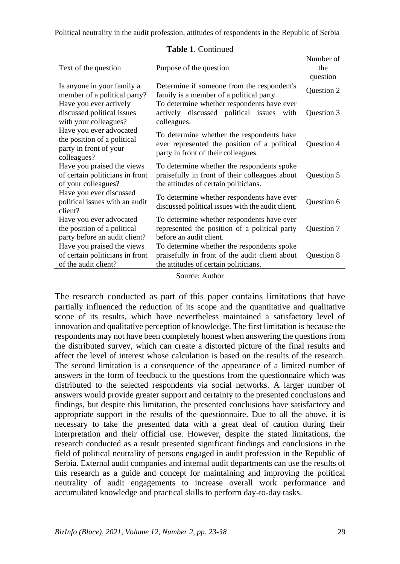Political neutrality in the audit profession, attitudes of respondents in the Republic of Serbia

| Text of the question                                                                            | Purpose of the question                                                                                                               | Number of<br>the<br>question |
|-------------------------------------------------------------------------------------------------|---------------------------------------------------------------------------------------------------------------------------------------|------------------------------|
| Is anyone in your family a<br>member of a political party?                                      | Determine if someone from the respondent's<br>family is a member of a political party.                                                | Question 2                   |
| Have you ever actively<br>discussed political issues<br>with your colleagues?                   | To determine whether respondents have ever<br>actively discussed political issues<br>with<br>colleagues.                              | Question 3                   |
| Have you ever advocated<br>the position of a political<br>party in front of your<br>colleagues? | To determine whether the respondents have<br>ever represented the position of a political<br>party in front of their colleagues.      | Question 4                   |
| Have you praised the views<br>of certain politicians in front<br>of your colleagues?            | To determine whether the respondents spoke<br>praisefully in front of their colleagues about<br>the attitudes of certain politicians. | Question 5                   |
| Have you ever discussed<br>political issues with an audit<br>client?                            | To determine whether respondents have ever<br>discussed political issues with the audit client.                                       | Question 6                   |
| Have you ever advocated<br>the position of a political<br>party before an audit client?         | To determine whether respondents have ever<br>represented the position of a political party<br>before an audit client.                | Question 7                   |
| Have you praised the views<br>of certain politicians in front<br>of the audit client?           | To determine whether the respondents spoke<br>praisefully in front of the audit client about<br>the attitudes of certain politicians. | Question 8                   |

#### **Table 1**. Continued

Source: Author

The research conducted as part of this paper contains limitations that have partially influenced the reduction of its scope and the quantitative and qualitative scope of its results, which have nevertheless maintained a satisfactory level of innovation and qualitative perception of knowledge. The first limitation is because the respondents may not have been completely honest when answering the questions from the distributed survey, which can create a distorted picture of the final results and affect the level of interest whose calculation is based on the results of the research. The second limitation is a consequence of the appearance of a limited number of answers in the form of feedback to the questions from the questionnaire which was distributed to the selected respondents via social networks. A larger number of answers would provide greater support and certainty to the presented conclusions and findings, but despite this limitation, the presented conclusions have satisfactory and appropriate support in the results of the questionnaire. Due to all the above, it is necessary to take the presented data with a great deal of caution during their interpretation and their official use. However, despite the stated limitations, the research conducted as a result presented significant findings and conclusions in the field of political neutrality of persons engaged in audit profession in the Republic of Serbia. External audit companies and internal audit departments can use the results of this research as a guide and concept for maintaining and improving the political neutrality of audit engagements to increase overall work performance and accumulated knowledge and practical skills to perform day-to-day tasks.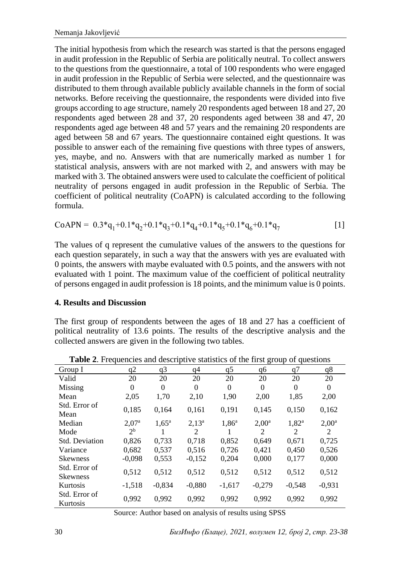The initial hypothesis from which the research was started is that the persons engaged in audit profession in the Republic of Serbia are politically neutral. To collect answers to the questions from the questionnaire, a total of 100 respondents who were engaged in audit profession in the Republic of Serbia were selected, and the questionnaire was distributed to them through available publicly available channels in the form of social networks. Before receiving the questionnaire, the respondents were divided into five groups according to age structure, namely 20 respondents aged between 18 and 27, 20 respondents aged between 28 and 37, 20 respondents aged between 38 and 47, 20 respondents aged age between 48 and 57 years and the remaining 20 respondents are aged between 58 and 67 years. The questionnaire contained eight questions. It was possible to answer each of the remaining five questions with three types of answers, yes, maybe, and no. Answers with that are numerically marked as number 1 for statistical analysis, answers with are not marked with 2, and answers with may be marked with 3. The obtained answers were used to calculate the coefficient of political neutrality of persons engaged in audit profession in the Republic of Serbia. The coefficient of political neutrality (CoAPN) is calculated according to the following formula.

CoAPN = 
$$
0.3 \times q_1 + 0.1 \times q_2 + 0.1 \times q_3 + 0.1 \times q_4 + 0.1 \times q_5 + 0.1 \times q_6 + 0.1 \times q_7
$$
 [1]

The values of q represent the cumulative values of the answers to the questions for each question separately, in such a way that the answers with yes are evaluated with 0 points, the answers with maybe evaluated with 0.5 points, and the answers with not evaluated with 1 point. The maximum value of the coefficient of political neutrality of persons engaged in audit profession is 18 points, and the minimum value is 0 points.

### **4. Results and Discussion**

The first group of respondents between the ages of 18 and 27 has a coefficient of political neutrality of 13.6 points. The results of the descriptive analysis and the collected answers are given in the following two tables.

|                                  |                |                |          |                | ె                 |                |                |
|----------------------------------|----------------|----------------|----------|----------------|-------------------|----------------|----------------|
| Group I                          | q2             | q3             | q4       | q <sub>5</sub> | q6                | q7             | q8             |
| Valid                            | 20             | 20             | 20       | 20             | 20                | 20             | 20             |
| Missing                          | $\theta$       | $\theta$       | $\theta$ | $\theta$       | $\theta$          | $\Omega$       | $\Omega$       |
| Mean                             | 2,05           | 1,70           | 2,10     | 1,90           | 2,00              | 1,85           | 2,00           |
| Std. Error of<br>Mean            | 0,185          | 0,164          | 0,161    | 0,191          | 0,145             | 0,150          | 0,162          |
| Median                           | $2,07^{\rm a}$ | $1.65^{\rm a}$ | $2,13^a$ | $1,86^a$       | 2.00 <sup>a</sup> | $1,82^{\rm a}$ | $2,00^{\rm a}$ |
| Mode                             | 2 <sup>b</sup> |                | 2        |                | 2                 | 2              | 2              |
| Std. Deviation                   | 0,826          | 0.733          | 0.718    | 0.852          | 0.649             | 0.671          | 0,725          |
| Variance                         | 0.682          | 0,537          | 0,516    | 0.726          | 0,421             | 0,450          | 0,526          |
| <b>Skewness</b>                  | $-0,098$       | 0,553          | $-0,152$ | 0,204          | 0,000             | 0,177          | 0,000          |
| Std. Error of<br><b>Skewness</b> | 0,512          | 0,512          | 0,512    | 0,512          | 0,512             | 0,512          | 0,512          |
| Kurtosis                         | $-1,518$       | $-0.834$       | $-0.880$ | $-1,617$       | $-0.279$          | $-0.548$       | $-0,931$       |
| Std. Error of<br>Kurtosis        | 0,992          | 0,992          | 0,992    | 0,992          | 0,992             | 0,992          | 0,992          |

**Table 2.** Frequencies and descriptive statistics of the first group of questions

Source: Author based on analysis of results using SPSS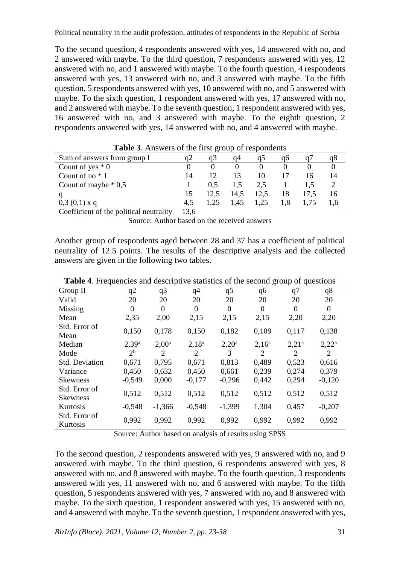To the second question, 4 respondents answered with yes, 14 answered with no, and 2 answered with maybe. To the third question, 7 respondents answered with yes, 12 answered with no, and 1 answered with maybe. To the fourth question, 4 respondents answered with yes, 13 answered with no, and 3 answered with maybe. To the fifth question, 5 respondents answered with yes, 10 answered with no, and 5 answered with maybe. To the sixth question, 1 respondent answered with yes, 17 answered with no, and 2 answered with maybe. To the seventh question, 1 respondent answered with yes, 16 answered with no, and 3 answered with maybe. To the eighth question, 2 respondents answered with yes, 14 answered with no, and 4 answered with maybe.

| Sum of answers from group I             | a2   | a3   | α4   | CD   | a6  |      | qŏ  |
|-----------------------------------------|------|------|------|------|-----|------|-----|
| Count of yes $*$ 0                      |      |      |      |      |     |      |     |
| Count of no $*1$                        | 14   | 12   | 13   | 10   |     | 16   | 14  |
| Count of maybe $* 0.5$                  |      | 0.5  | 1.5  | 2,5  |     |      |     |
|                                         | 15   | 12.5 | 14.5 | 12,5 | 18  | 17.5 | 16  |
| $0,3(0,1)$ x q                          | 4.5  |      | 1.45 | 1.25 | 1.8 | 1.75 | 1.6 |
| Coefficient of the political neutrality | 13,6 |      |      |      |     |      |     |

Source: Author based on the received answers

Another group of respondents aged between 28 and 37 has a coefficient of political neutrality of 12.5 points. The results of the descriptive analysis and the collected answers are given in the following two tables.

| Group II                         | q2             | q <sub>3</sub>    | q <sub>4</sub> | q5             | q6       | q7       | q8       |
|----------------------------------|----------------|-------------------|----------------|----------------|----------|----------|----------|
| Valid                            | 20             | 20                | 20             | 20             | 20       | 20       | 20       |
| Missing                          | $\Omega$       | $\Omega$          | $\theta$       | $\Omega$       | $\theta$ | $\theta$ | $\Omega$ |
| Mean                             | 2,35           | 2,00              | 2,15           | 2,15           | 2,15     | 2,20     | 2,20     |
| Std. Error of<br>Mean            | 0,150          | 0,178             | 0,150          | 0,182          | 0,109    | 0.117    | 0,138    |
| Median                           | $2,39^{\rm a}$ | 2.00 <sup>a</sup> | $2,18^a$       | $2,20^{\rm a}$ | $2,16^a$ | $2,21^a$ | $2,22^a$ |
| Mode                             | 2 <sup>b</sup> | 2                 | 2              | 3              | 2        | 2        | 2        |
| <b>Std. Deviation</b>            | 0.671          | 0.795             | 0.671          | 0.813          | 0.489    | 0,523    | 0,616    |
| Variance                         | 0,450          | 0,632             | 0,450          | 0,661          | 0,239    | 0,274    | 0,379    |
| <b>Skewness</b>                  | $-0,549$       | 0,000             | $-0.177$       | $-0,296$       | 0,442    | 0,294    | $-0,120$ |
| Std. Error of<br><b>Skewness</b> | 0,512          | 0,512             | 0,512          | 0,512          | 0,512    | 0,512    | 0,512    |
| Kurtosis                         | $-0.548$       | $-1,366$          | $-0.548$       | $-1,399$       | 1,304    | 0,457    | $-0,207$ |
| Std. Error of<br>Kurtosis        | 0,992          | 0,992             | 0,992          | 0,992          | 0,992    | 0,992    | 0,992    |

**Table 4**. Frequencies and descriptive statistics of the second group of questions

Source: Author based on analysis of results using SPSS

To the second question, 2 respondents answered with yes, 9 answered with no, and 9 answered with maybe. To the third question, 6 respondents answered with yes, 8 answered with no, and 8 answered with maybe. To the fourth question, 3 respondents answered with yes, 11 answered with no, and 6 answered with maybe. To the fifth question, 5 respondents answered with yes, 7 answered with no, and 8 answered with maybe. To the sixth question, 1 respondent answered with yes, 15 answered with no, and 4 answered with maybe. To the seventh question, 1 respondent answered with yes,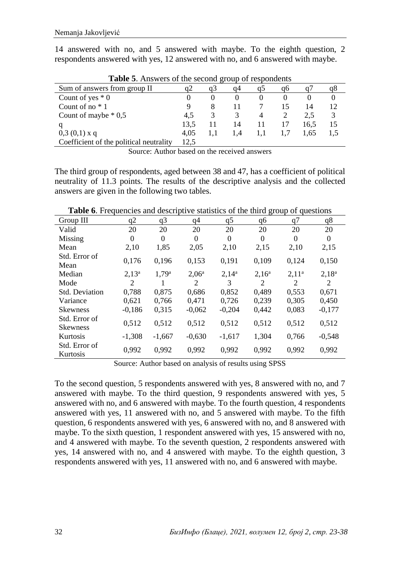14 answered with no, and 5 answered with maybe. To the eighth question, 2 respondents answered with yes, 12 answered with no, and 6 answered with maybe.

| Sum of answers from group II            |      | a3 | α4  | CD |    |      |    |
|-----------------------------------------|------|----|-----|----|----|------|----|
| Count of yes $*$ 0                      |      |    |     |    |    |      |    |
| Count of no $*1$                        | Q    |    |     |    | 15 | 14   | 12 |
| Count of maybe $*0,5$                   | 4.5  |    |     |    |    | 2.5  |    |
|                                         | 13.5 |    | 14  |    | 17 | 16.5 | 15 |
| $0,3(0,1)$ x q                          | 4.05 |    | 1.4 |    |    | 1.65 |    |
| Coefficient of the political neutrality | 12.5 |    |     |    |    |      |    |

**Table 5**. Answers of the second group of respondents

Source: Author based on the received answers

The third group of respondents, aged between 38 and 47, has a coefficient of political neutrality of 11.3 points. The results of the descriptive analysis and the collected answers are given in the following two tables.

| Group III                        | q2       | q <sub>3</sub> | q4       | q <sub>5</sub> | q6       | q7       | q8       |
|----------------------------------|----------|----------------|----------|----------------|----------|----------|----------|
| Valid                            | 20       | 20             | 20       | 20             | 20       | 20       | 20       |
| Missing                          | $\Omega$ | $\Omega$       | $\Omega$ | $\Omega$       | $\Omega$ | $\Omega$ | $\Omega$ |
| Mean                             | 2,10     | 1,85           | 2,05     | 2,10           | 2,15     | 2,10     | 2,15     |
| Std. Error of<br>Mean            | 0,176    | 0,196          | 0,153    | 0,191          | 0,109    | 0,124    | 0,150    |
| Median                           | $2,13^a$ | $1,79^{\rm a}$ | $2,06^a$ | $2.14^{a}$     | $2,16^a$ | $2,11^a$ | $2,18^a$ |
| Mode                             | 2        |                | 2        | 3              | 2        | 2        | 2        |
| Std. Deviation                   | 0.788    | 0.875          | 0.686    | 0.852          | 0.489    | 0,553    | 0,671    |
| Variance                         | 0,621    | 0,766          | 0.471    | 0.726          | 0.239    | 0.305    | 0,450    |
| <b>Skewness</b>                  | $-0.186$ | 0.315          | $-0.062$ | $-0,204$       | 0,442    | 0,083    | $-0.177$ |
| Std. Error of<br><b>Skewness</b> | 0.512    | 0.512          | 0,512    | 0.512          | 0,512    | 0.512    | 0,512    |
| Kurtosis                         | $-1,308$ | $-1,667$       | $-0,630$ | $-1,617$       | 1,304    | 0,766    | $-0,548$ |
| Std. Error of<br>Kurtosis        | 0,992    | 0,992          | 0,992    | 0,992          | 0,992    | 0.992    | 0,992    |

**Table 6.** Frequencies and descriptive statistics of the third group of questions

Source: Author based on analysis of results using SPSS

To the second question, 5 respondents answered with yes, 8 answered with no, and 7 answered with maybe. To the third question, 9 respondents answered with yes, 5 answered with no, and 6 answered with maybe. To the fourth question, 4 respondents answered with yes, 11 answered with no, and 5 answered with maybe. To the fifth question, 6 respondents answered with yes, 6 answered with no, and 8 answered with maybe. To the sixth question, 1 respondent answered with yes, 15 answered with no, and 4 answered with maybe. To the seventh question, 2 respondents answered with yes, 14 answered with no, and 4 answered with maybe. To the eighth question, 3 respondents answered with yes, 11 answered with no, and 6 answered with maybe.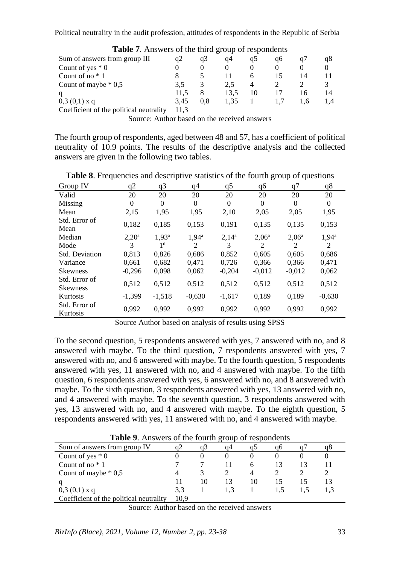| <b>rapic</b> <i>i</i> . Allowers of the time group of respondents |      |     |      |    |    |     |    |
|-------------------------------------------------------------------|------|-----|------|----|----|-----|----|
| Sum of answers from group III                                     | a2   | a3  | a4   |    | aб |     |    |
| Count of yes $*$ 0                                                |      |     |      |    |    |     |    |
| Count of no $*1$                                                  |      |     |      |    |    | 14  |    |
| Count of maybe $* 0,5$                                            | 3.5  | 3   | 2.5  |    |    |     |    |
|                                                                   | 11.5 |     | 13.5 | 10 |    | 16  | 14 |
| $0,3(0,1)$ x q                                                    | 3.45 | 0.8 | 1.35 |    |    | 1.6 |    |
| Coefficient of the political neutrality                           | 11.3 |     |      |    |    |     |    |

| Table 7. Answers of the third group of respondents |  |  |
|----------------------------------------------------|--|--|
|----------------------------------------------------|--|--|

Source: Author based on the received answers

The fourth group of respondents, aged between 48 and 57, has a coefficient of political neutrality of 10.9 points. The results of the descriptive analysis and the collected answers are given in the following two tables.

**Table 8**. Frequencies and descriptive statistics of the fourth group of questions

| Group IV                         | q2             | q3                | q4             | q5       | q6             | q7       | q8             |
|----------------------------------|----------------|-------------------|----------------|----------|----------------|----------|----------------|
| Valid                            | 20             | 20                | 20             | 20       | 20             | 20       | 20             |
| Missing                          | $\Omega$       | $\Omega$          | $\theta$       | $\Omega$ | $\Omega$       | $\theta$ | $\Omega$       |
| Mean                             | 2,15           | 1,95              | 1,95           | 2,10     | 2,05           | 2,05     | 1,95           |
| Std. Error of<br>Mean            | 0,182          | 0,185             | 0,153          | 0.191    | 0,135          | 0,135    | 0,153          |
| Median                           | $2,20^{\rm a}$ | 1.93 <sup>a</sup> | $1,94^{\rm a}$ | $2,14^a$ | $2,06^{\rm a}$ | $2,06^a$ | $1,94^{\rm a}$ |
| Mode                             | 3              | 1 <sup>d</sup>    | $\overline{c}$ | 3        | 2              | 2        | 2              |
| <b>Std. Deviation</b>            | 0,813          | 0,826             | 0,686          | 0,852    | 0,605          | 0.605    | 0,686          |
| Variance                         | 0.661          | 0,682             | 0.471          | 0.726    | 0,366          | 0.366    | 0.471          |
| <b>Skewness</b>                  | $-0,296$       | 0,098             | 0,062          | $-0,204$ | $-0,012$       | $-0.012$ | 0,062          |
| Std. Error of<br><b>Skewness</b> | 0,512          | 0,512             | 0,512          | 0,512    | 0,512          | 0,512    | 0,512          |
| Kurtosis                         | $-1.399$       | $-1,518$          | $-0.630$       | $-1,617$ | 0,189          | 0,189    | $-0.630$       |
| Std. Error of<br>Kurtosis        | 0,992          | 0,992             | 0,992          | 0,992    | 0,992          | 0,992    | 0,992          |

Source Author based on analysis of results using SPSS

To the second question, 5 respondents answered with yes, 7 answered with no, and 8 answered with maybe. To the third question, 7 respondents answered with yes, 7 answered with no, and 6 answered with maybe. To the fourth question, 5 respondents answered with yes, 11 answered with no, and 4 answered with maybe. To the fifth question, 6 respondents answered with yes, 6 answered with no, and 8 answered with maybe. To the sixth question, 3 respondents answered with yes, 13 answered with no, and 4 answered with maybe. To the seventh question, 3 respondents answered with yes, 13 answered with no, and 4 answered with maybe. To the eighth question, 5 respondents answered with yes, 11 answered with no, and 4 answered with maybe.

| <b>TWORE</b> 211 HIS WORD OF the FOURTH EFOUR OF FORD SHOULD |      |    |    |    |    |    |    |
|--------------------------------------------------------------|------|----|----|----|----|----|----|
| Sum of answers from group IV                                 | q2   | a3 | α4 |    | uo |    | uδ |
| Count of yes $*0$                                            |      |    |    |    |    |    |    |
| Count of no $*1$                                             |      |    |    | h  |    |    |    |
| Count of maybe $* 0.5$                                       |      |    |    |    |    |    |    |
|                                                              |      | 10 |    | 10 |    | 15 | 13 |
| $0,3(0,1)$ x q                                               | 3.3  |    |    |    |    |    |    |
| Coefficient of the political neutrality                      | 10.9 |    |    |    |    |    |    |

**Table 9**. Answers of the fourth group of respondents

Source: Author based on the received answers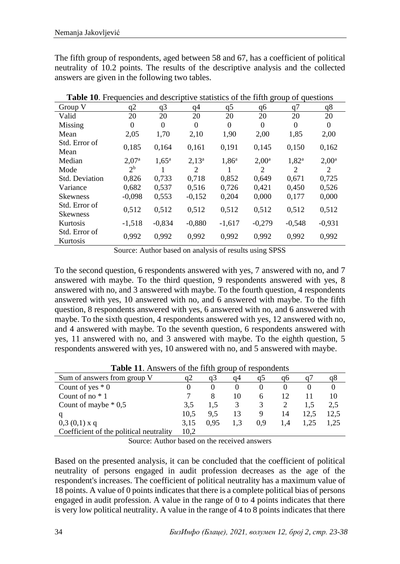The fifth group of respondents, aged between 58 and 67, has a coefficient of political neutrality of 10.2 points. The results of the descriptive analysis and the collected answers are given in the following two tables.

| ె                                |                |                |          |                |                |                |                |  |  |  |  |  |
|----------------------------------|----------------|----------------|----------|----------------|----------------|----------------|----------------|--|--|--|--|--|
| Group V                          | q2             | q3             | q4       | q <sub>5</sub> | q6             | q7             | q8             |  |  |  |  |  |
| Valid                            | 20             | 20             | 20       | 20             | 20             | 20             | 20             |  |  |  |  |  |
| Missing                          | $\Omega$       | $\Omega$       | $\theta$ | $\Omega$       | $\Omega$       | $\Omega$       | $\Omega$       |  |  |  |  |  |
| Mean                             | 2,05           | 1,70           | 2,10     | 1,90           | 2,00           | 1,85           | 2,00           |  |  |  |  |  |
| Std. Error of<br>Mean            | 0,185          | 0,164          | 0,161    | 0,191          | 0,145          | 0,150          | 0,162          |  |  |  |  |  |
| Median                           | $2,07^{\rm a}$ | $1.65^{\rm a}$ | $2,13^a$ | $1,86^a$       | $2,00^{\rm a}$ | $1,82^{\rm a}$ | $2,00^{\rm a}$ |  |  |  |  |  |
| Mode                             | $2^{\rm b}$    |                | 2        |                | 2              | 2              | 2              |  |  |  |  |  |
| <b>Std. Deviation</b>            | 0.826          | 0.733          | 0.718    | 0.852          | 0.649          | 0.671          | 0.725          |  |  |  |  |  |
| Variance                         | 0.682          | 0,537          | 0,516    | 0,726          | 0.421          | 0,450          | 0,526          |  |  |  |  |  |
| <b>Skewness</b>                  | $-0.098$       | 0,553          | $-0,152$ | 0,204          | 0,000          | 0,177          | 0,000          |  |  |  |  |  |
| Std. Error of<br><b>Skewness</b> | 0,512          | 0,512          | 0,512    | 0,512          | 0,512          | 0,512          | 0,512          |  |  |  |  |  |
| Kurtosis                         | $-1,518$       | $-0.834$       | $-0.880$ | $-1,617$       | $-0.279$       | $-0,548$       | $-0,931$       |  |  |  |  |  |
| Std. Error of<br>Kurtosis        | 0,992          | 0,992          | 0,992    | 0,992          | 0,992          | 0,992          | 0.992          |  |  |  |  |  |

**Table 10**. Frequencies and descriptive statistics of the fifth group of questions

Source: Author based on analysis of results using SPSS

To the second question, 6 respondents answered with yes, 7 answered with no, and 7 answered with maybe. To the third question, 9 respondents answered with yes, 8 answered with no, and 3 answered with maybe. To the fourth question, 4 respondents answered with yes, 10 answered with no, and 6 answered with maybe. To the fifth question, 8 respondents answered with yes, 6 answered with no, and 6 answered with maybe. To the sixth question, 4 respondents answered with yes, 12 answered with no, and 4 answered with maybe. To the seventh question, 6 respondents answered with yes, 11 answered with no, and 3 answered with maybe. To the eighth question, 5 respondents answered with yes, 10 answered with no, and 5 answered with maybe.

| <b>Table 11.</b> Answers of the fifth group of respondents |      |          |     |              |     |      |      |  |  |  |  |
|------------------------------------------------------------|------|----------|-----|--------------|-----|------|------|--|--|--|--|
| Sum of answers from group V                                | a2   | a3       | α4  | CD           | aб  |      | q8   |  |  |  |  |
| Count of yes $*0$                                          | 0    | $\theta$ |     |              |     |      |      |  |  |  |  |
| Count of no $*1$                                           |      |          | 10  | <sub>6</sub> | 12  |      | 10   |  |  |  |  |
| Count of maybe $* 0.5$                                     | 3.5  | 1.5      |     |              |     |      | 2.5  |  |  |  |  |
|                                                            | 10.5 | 9.5      | 13  | 9            | 14  | 12.5 | 12.5 |  |  |  |  |
| $0,3(0,1)$ x q                                             | 3.15 | 0.95     | 1.3 | 0.9          | 1.4 | 1.25 | 1,25 |  |  |  |  |
| Coefficient of the political neutrality                    |      |          |     |              |     |      |      |  |  |  |  |

**Table 11**. Answers of the fifth group of respondents

Source: Author based on the received answers

Based on the presented analysis, it can be concluded that the coefficient of political neutrality of persons engaged in audit profession decreases as the age of the respondent's increases. The coefficient of political neutrality has a maximum value of 18 points. A value of 0 points indicates that there is a complete political bias of persons engaged in audit profession. A value in the range of 0 to 4 points indicates that there is very low political neutrality. A value in the range of 4 to 8 points indicates that there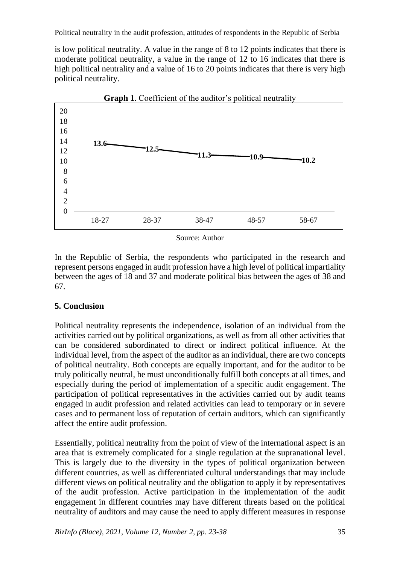is low political neutrality. A value in the range of 8 to 12 points indicates that there is moderate political neutrality, a value in the range of 12 to 16 indicates that there is high political neutrality and a value of 16 to 20 points indicates that there is very high political neutrality.



**Graph 1**. Coefficient of the auditor's political neutrality

Source: Author

In the Republic of Serbia, the respondents who participated in the research and represent persons engaged in audit profession have a high level of political impartiality between the ages of 18 and 37 and moderate political bias between the ages of 38 and 67.

### **5. Conclusion**

Political neutrality represents the independence, isolation of an individual from the activities carried out by political organizations, as well as from all other activities that can be considered subordinated to direct or indirect political influence. At the individual level, from the aspect of the auditor as an individual, there are two concepts of political neutrality. Both concepts are equally important, and for the auditor to be truly politically neutral, he must unconditionally fulfill both concepts at all times, and especially during the period of implementation of a specific audit engagement. The participation of political representatives in the activities carried out by audit teams engaged in audit profession and related activities can lead to temporary or in severe cases and to permanent loss of reputation of certain auditors, which can significantly affect the entire audit profession.

Essentially, political neutrality from the point of view of the international aspect is an area that is extremely complicated for a single regulation at the supranational level. This is largely due to the diversity in the types of political organization between different countries, as well as differentiated cultural understandings that may include different views on political neutrality and the obligation to apply it by representatives of the audit profession. Active participation in the implementation of the audit engagement in different countries may have different threats based on the political neutrality of auditors and may cause the need to apply different measures in response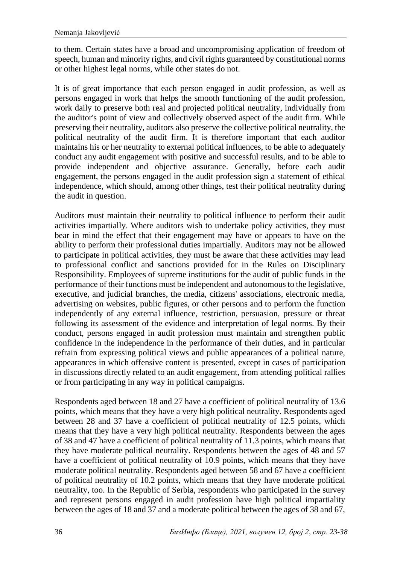to them. Certain states have a broad and uncompromising application of freedom of speech, human and minority rights, and civil rights guaranteed by constitutional norms or other highest legal norms, while other states do not.

It is of great importance that each person engaged in audit profession, as well as persons engaged in work that helps the smooth functioning of the audit profession, work daily to preserve both real and projected political neutrality, individually from the auditor's point of view and collectively observed aspect of the audit firm. While preserving their neutrality, auditors also preserve the collective political neutrality, the political neutrality of the audit firm. It is therefore important that each auditor maintains his or her neutrality to external political influences, to be able to adequately conduct any audit engagement with positive and successful results, and to be able to provide independent and objective assurance. Generally, before each audit engagement, the persons engaged in the audit profession sign a statement of ethical independence, which should, among other things, test their political neutrality during the audit in question.

Auditors must maintain their neutrality to political influence to perform their audit activities impartially. Where auditors wish to undertake policy activities, they must bear in mind the effect that their engagement may have or appears to have on the ability to perform their professional duties impartially. Auditors may not be allowed to participate in political activities, they must be aware that these activities may lead to professional conflict and sanctions provided for in the Rules on Disciplinary Responsibility. Employees of supreme institutions for the audit of public funds in the performance of their functions must be independent and autonomous to the legislative, executive, and judicial branches, the media, citizens' associations, electronic media, advertising on websites, public figures, or other persons and to perform the function independently of any external influence, restriction, persuasion, pressure or threat following its assessment of the evidence and interpretation of legal norms. By their conduct, persons engaged in audit profession must maintain and strengthen public confidence in the independence in the performance of their duties, and in particular refrain from expressing political views and public appearances of a political nature, appearances in which offensive content is presented, except in cases of participation in discussions directly related to an audit engagement, from attending political rallies or from participating in any way in political campaigns.

Respondents aged between 18 and 27 have a coefficient of political neutrality of 13.6 points, which means that they have a very high political neutrality. Respondents aged between 28 and 37 have a coefficient of political neutrality of 12.5 points, which means that they have a very high political neutrality. Respondents between the ages of 38 and 47 have a coefficient of political neutrality of 11.3 points, which means that they have moderate political neutrality. Respondents between the ages of 48 and 57 have a coefficient of political neutrality of 10.9 points, which means that they have moderate political neutrality. Respondents aged between 58 and 67 have a coefficient of political neutrality of 10.2 points, which means that they have moderate political neutrality, too. In the Republic of Serbia, respondents who participated in the survey and represent persons engaged in audit profession have high political impartiality between the ages of 18 and 37 and a moderate political between the ages of 38 and 67,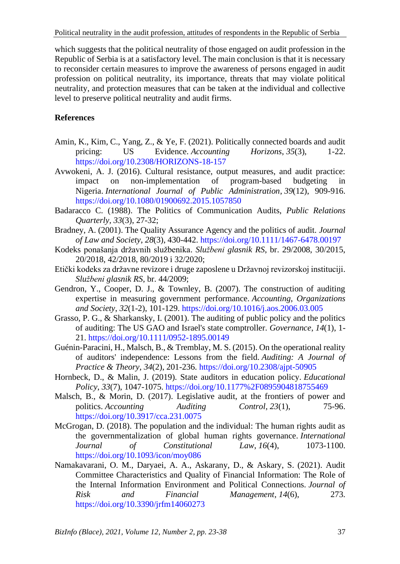which suggests that the political neutrality of those engaged on audit profession in the Republic of Serbia is at a satisfactory level. The main conclusion is that it is necessary to reconsider certain measures to improve the awareness of persons engaged in audit profession on political neutrality, its importance, threats that may violate political neutrality, and protection measures that can be taken at the individual and collective level to preserve political neutrality and audit firms.

# **References**

- Amin, K., Kim, C., Yang, Z., & Ye, F. (2021). Politically connected boards and audit pricing: US Evidence. *Accounting Horizons*, *35*(3), 1-22. <https://doi.org/10.2308/HORIZONS-18-157>
- Avwokeni, A. J. (2016). Cultural resistance, output measures, and audit practice: impact on non-implementation of program-based budgeting in Nigeria. *International Journal of Public Administration*, *39*(12), 909-916. <https://doi.org/10.1080/01900692.2015.1057850>
- Badaracco C. (1988). The Politics of Communication Audits, *Public Relations Quarterly, 33*(3), 27-32;
- Bradney, A. (2001). The Quality Assurance Agency and the politics of audit. *Journal of Law and Society*, *28*(3), 430-442. <https://doi.org/10.1111/1467-6478.00197>
- Kodeks ponašanja državnih službenika. *Službeni glasnik RS*, br. 29/2008, 30/2015, 20/2018, 42/2018, 80/2019 i 32/2020;
- Etički kodeks za državne revizore i druge zaposlene u Državnoj revizorskoj instituciji. *Službeni glasnik RS*, br. 44/2009;
- Gendron, Y., Cooper, D. J., & Townley, B. (2007). The construction of auditing expertise in measuring government performance. *Accounting, Organizations and Society*, *32*(1-2), 101-129. <https://doi.org/10.1016/j.aos.2006.03.005>
- Grasso, P. G., & Sharkansky, I. (2001). The auditing of public policy and the politics of auditing: The US GAO and Israel's state comptroller. *Governance*, *14*(1), 1- 21. <https://doi.org/10.1111/0952-1895.00149>
- Guénin-Paracini, H., Malsch, B., & Tremblay, M. S. (2015). On the operational reality of auditors' independence: Lessons from the field. *Auditing: A Journal of Practice & Theory*, *34*(2), 201-236. <https://doi.org/10.2308/ajpt-50905>
- Hornbeck, D., & Malin, J. (2019). State auditors in education policy. *Educational Policy*, *33*(7), 1047-1075. <https://doi.org/10.1177%2F0895904818755469>
- Malsch, B., & Morin, D. (2017). Legislative audit, at the frontiers of power and politics. *Accounting Auditing Control, 23*(1), 75-96. <https://doi.org/10.3917/cca.231.0075>
- McGrogan, D. (2018). The population and the individual: The human rights audit as the governmentalization of global human rights governance. *International Journal of Constitutional Law*, *16*(4), 1073-1100. <https://doi.org/10.1093/icon/moy086>
- Namakavarani, O. M., Daryaei, A. A., Askarany, D., & Askary, S. (2021). Audit Committee Characteristics and Quality of Financial Information: The Role of the Internal Information Environment and Political Connections. *Journal of Risk and Financial Management*, *14*(6), 273. <https://doi.org/10.3390/jrfm14060273>